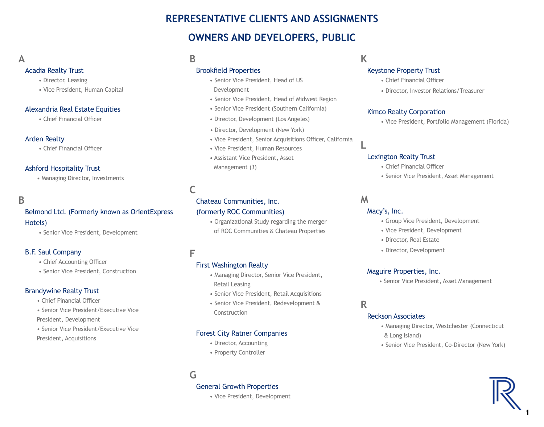# **REPRESENTATIVE CLIENTS AND ASSIGNMENTS OWNERS AND DEVELOPERS, PUBLIC**

# **A**

#### Acadia Realty Trust

- Director, Leasing
- Vice President, Human Capital

#### Alexandria Real Estate Equities

• Chief Financial Officer

#### Arden Realty

• Chief Financial Officer

#### Ashford Hospitality Trust

• Managing Director, Investments

## **B**

# Belmond Ltd. (Formerly known as OrientExpress

#### Hotels)

• Senior Vice President, Development

#### B.F. Saul Company

- Chief Accounting Officer
- Senior Vice President, Construction

#### Brandywine Realty Trust

- Chief Financial Officer
- Senior Vice President/Executive Vice
- President, Development
- Senior Vice President/Executive Vice
- President, Acquisitions

# **B**

#### Brookfield Properties

- Senior Vice President, Head of US
- Development
- Senior Vice President, Head of Midwest Region
- Senior Vice President (Southern California)
- Director, Development (Los Angeles)
- Director, Development (New York)
- Vice President, Senior Acquisitions Officer, California
- Vice President, Human Resources
- Assistant Vice President, Asset Management (3)

# **C**

# Chateau Communities, Inc.

#### (formerly ROC Communities)

• Organizational Study regarding the merger of ROC Communities & Chateau Properties

## **F**

#### First Washington Realty

- Managing Director, Senior Vice President, Retail Leasing
- Senior Vice President, Retail Acquisitions
- Senior Vice President, Redevelopment & Construction

## Forest City Ratner Companies

- Director, Accounting
- Property Controller

# **G**

#### General Growth Properties

• Vice President, Development

**K**

## Keystone Property Trust

- Chief Financial Officer
- Director, Investor Relations/Treasurer

#### Kimco Realty Corporation

• Vice President, Portfolio Management (Florida)

#### Lexington Realty Trust

- Chief Financial Officer
- Senior Vice President, Asset Management

## **M**

**L**

### Macy's, Inc.

- Group Vice President, Development
- Vice President, Development
- Director, Real Estate
- Director, Development

#### Maguire Properties, Inc.

• Senior Vice President, Asset Management

## **R**

#### Reckson Associates

- Managing Director, Westchester (Connecticut & Long Island)
- Senior Vice President, Co-Director (New York)



1